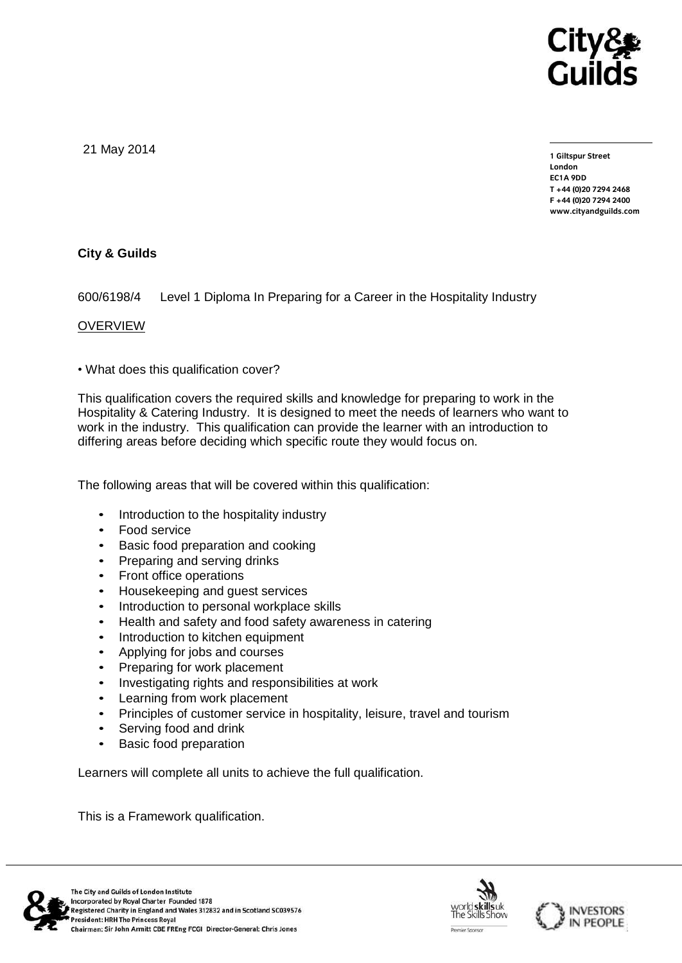

21 May 2014

**1 Giltspur Street EC1A 9DD** T +44 (0) 20 7 294 2468 **T +44 (0)20 7294 2468 F +44 (0)20 7294 2400 [www.cityandguilds.com](http://www.cityandguilds.com/)**

# **City & Guilds**

600/6198/4 Level 1 Diploma In Preparing for a Career in the Hospitality Industry

### **OVERVIEW**

• What does this qualification cover?

This qualification covers the required skills and knowledge for preparing to work in the Hospitality & Catering Industry. It is designed to meet the needs of learners who want to work in the industry. This qualification can provide the learner with an introduction to differing areas before deciding which specific route they would focus on.

The following areas that will be covered within this qualification:

- Introduction to the hospitality industry
- Food service
- Basic food preparation and cooking
- Preparing and serving drinks
- Front office operations
- Housekeeping and guest services
- Introduction to personal workplace skills
- Health and safety and food safety awareness in catering
- Introduction to kitchen equipment
- Applying for jobs and courses
- Preparing for work placement
- Investigating rights and responsibilities at work
- Learning from work placement
- Principles of customer service in hospitality, leisure, travel and tourism
- Serving food and drink
- **Basic food preparation**

Learners will complete all units to achieve the full qualification.

This is a Framework qualification.